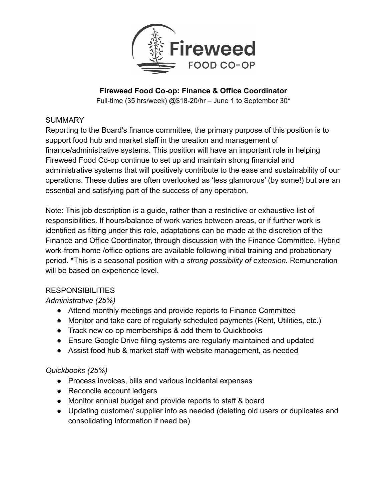

# **Fireweed Food Co-op: Finance & Office Coordinator**

Full-time (35 hrs/week) @\$18-20/hr – June 1 to September 30\*

### **SUMMARY**

Reporting to the Board's finance committee, the primary purpose of this position is to support food hub and market staff in the creation and management of finance/administrative systems. This position will have an important role in helping Fireweed Food Co-op continue to set up and maintain strong financial and administrative systems that will positively contribute to the ease and sustainability of our operations. These duties are often overlooked as 'less glamorous' (by some!) but are an essential and satisfying part of the success of any operation.

Note: This job description is a guide, rather than a restrictive or exhaustive list of responsibilities. If hours/balance of work varies between areas, or if further work is identified as fitting under this role, adaptations can be made at the discretion of the Finance and Office Coordinator, through discussion with the Finance Committee. Hybrid work-from-home /office options are available following initial training and probationary period. \*This is a seasonal position with *a strong possibility of extension.* Remuneration will be based on experience level.

# **RESPONSIBILITIES**

# *Administrative (25%)*

- Attend monthly meetings and provide reports to Finance Committee
- Monitor and take care of regularly scheduled payments (Rent, Utilities, etc.)
- Track new co-op memberships & add them to Quickbooks
- Ensure Google Drive filing systems are regularly maintained and updated
- Assist food hub & market staff with website management, as needed

# *Quickbooks (25%)*

- Process invoices, bills and various incidental expenses
- Reconcile account ledgers
- Monitor annual budget and provide reports to staff & board
- Updating customer/ supplier info as needed (deleting old users or duplicates and consolidating information if need be)